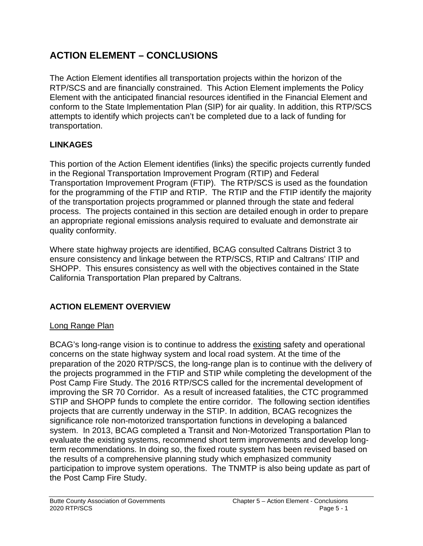# **ACTION ELEMENT – CONCLUSIONS**

The Action Element identifies all transportation projects within the horizon of the RTP/SCS and are financially constrained. This Action Element implements the Policy Element with the anticipated financial resources identified in the Financial Element and conform to the State Implementation Plan (SIP) for air quality. In addition, this RTP/SCS attempts to identify which projects can't be completed due to a lack of funding for transportation.

### **LINKAGES**

This portion of the Action Element identifies (links) the specific projects currently funded in the Regional Transportation Improvement Program (RTIP) and Federal Transportation Improvement Program (FTIP). The RTP/SCS is used as the foundation for the programming of the FTIP and RTIP. The RTIP and the FTIP identify the majority of the transportation projects programmed or planned through the state and federal process. The projects contained in this section are detailed enough in order to prepare an appropriate regional emissions analysis required to evaluate and demonstrate air quality conformity.

Where state highway projects are identified, BCAG consulted Caltrans District 3 to ensure consistency and linkage between the RTP/SCS, RTIP and Caltrans' ITIP and SHOPP. This ensures consistency as well with the objectives contained in the State California Transportation Plan prepared by Caltrans.

# **ACTION ELEMENT OVERVIEW**

#### Long Range Plan

BCAG's long-range vision is to continue to address the existing safety and operational concerns on the state highway system and local road system. At the time of the preparation of the 2020 RTP/SCS, the long-range plan is to continue with the delivery of the projects programmed in the FTIP and STIP while completing the development of the Post Camp Fire Study. The 2016 RTP/SCS called for the incremental development of improving the SR 70 Corridor. As a result of increased fatalities, the CTC programmed STIP and SHOPP funds to complete the entire corridor. The following section identifies projects that are currently underway in the STIP. In addition, BCAG recognizes the significance role non-motorized transportation functions in developing a balanced system. In 2013, BCAG completed a Transit and Non-Motorized Transportation Plan to evaluate the existing systems, recommend short term improvements and develop longterm recommendations. In doing so, the fixed route system has been revised based on the results of a comprehensive planning study which emphasized community participation to improve system operations. The TNMTP is also being update as part of the Post Camp Fire Study.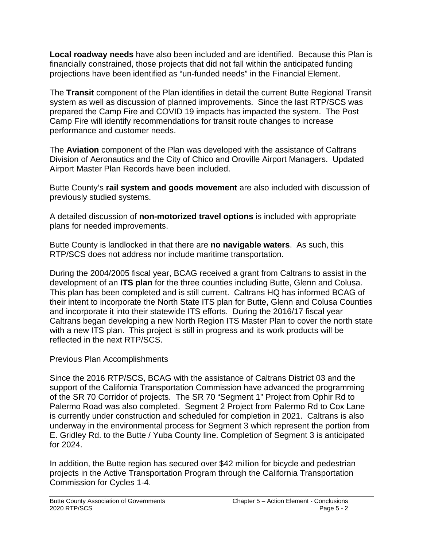**Local roadway needs** have also been included and are identified. Because this Plan is financially constrained, those projects that did not fall within the anticipated funding projections have been identified as "un-funded needs" in the Financial Element.

The **Transit** component of the Plan identifies in detail the current Butte Regional Transit system as well as discussion of planned improvements. Since the last RTP/SCS was prepared the Camp Fire and COVID 19 impacts has impacted the system. The Post Camp Fire will identify recommendations for transit route changes to increase performance and customer needs.

The **Aviation** component of the Plan was developed with the assistance of Caltrans Division of Aeronautics and the City of Chico and Oroville Airport Managers. Updated Airport Master Plan Records have been included.

Butte County's **rail system and goods movement** are also included with discussion of previously studied systems.

A detailed discussion of **non-motorized travel options** is included with appropriate plans for needed improvements.

Butte County is landlocked in that there are **no navigable waters**. As such, this RTP/SCS does not address nor include maritime transportation.

During the 2004/2005 fiscal year, BCAG received a grant from Caltrans to assist in the development of an **ITS plan** for the three counties including Butte, Glenn and Colusa. This plan has been completed and is still current. Caltrans HQ has informed BCAG of their intent to incorporate the North State ITS plan for Butte, Glenn and Colusa Counties and incorporate it into their statewide ITS efforts. During the 2016/17 fiscal year Caltrans began developing a new North Region ITS Master Plan to cover the north state with a new ITS plan. This project is still in progress and its work products will be reflected in the next RTP/SCS.

#### Previous Plan Accomplishments

Since the 2016 RTP/SCS, BCAG with the assistance of Caltrans District 03 and the support of the California Transportation Commission have advanced the programming of the SR 70 Corridor of projects. The SR 70 "Segment 1" Project from Ophir Rd to Palermo Road was also completed. Segment 2 Project from Palermo Rd to Cox Lane is currently under construction and scheduled for completion in 2021. Caltrans is also underway in the environmental process for Segment 3 which represent the portion from E. Gridley Rd. to the Butte / Yuba County line. Completion of Segment 3 is anticipated for 2024.

In addition, the Butte region has secured over \$42 million for bicycle and pedestrian projects in the Active Transportation Program through the California Transportation Commission for Cycles 1-4.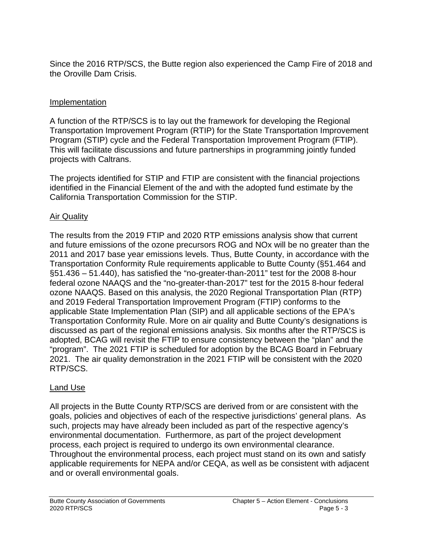Since the 2016 RTP/SCS, the Butte region also experienced the Camp Fire of 2018 and the Oroville Dam Crisis.

#### **Implementation**

A function of the RTP/SCS is to lay out the framework for developing the Regional Transportation Improvement Program (RTIP) for the State Transportation Improvement Program (STIP) cycle and the Federal Transportation Improvement Program (FTIP). This will facilitate discussions and future partnerships in programming jointly funded projects with Caltrans.

The projects identified for STIP and FTIP are consistent with the financial projections identified in the Financial Element of the and with the adopted fund estimate by the California Transportation Commission for the STIP.

#### Air Quality

The results from the 2019 FTIP and 2020 RTP emissions analysis show that current and future emissions of the ozone precursors ROG and NOx will be no greater than the 2011 and 2017 base year emissions levels. Thus, Butte County, in accordance with the Transportation Conformity Rule requirements applicable to Butte County (§51.464 and §51.436 – 51.440), has satisfied the "no-greater-than-2011" test for the 2008 8-hour federal ozone NAAQS and the "no-greater-than-2017" test for the 2015 8-hour federal ozone NAAQS. Based on this analysis, the 2020 Regional Transportation Plan (RTP) and 2019 Federal Transportation Improvement Program (FTIP) conforms to the applicable State Implementation Plan (SIP) and all applicable sections of the EPA's Transportation Conformity Rule. More on air quality and Butte County's designations is discussed as part of the regional emissions analysis. Six months after the RTP/SCS is adopted, BCAG will revisit the FTIP to ensure consistency between the "plan" and the "program". The 2021 FTIP is scheduled for adoption by the BCAG Board in February 2021. The air quality demonstration in the 2021 FTIP will be consistent with the 2020 RTP/SCS.

#### Land Use

All projects in the Butte County RTP/SCS are derived from or are consistent with the goals, policies and objectives of each of the respective jurisdictions' general plans. As such, projects may have already been included as part of the respective agency's environmental documentation. Furthermore, as part of the project development process, each project is required to undergo its own environmental clearance. Throughout the environmental process, each project must stand on its own and satisfy applicable requirements for NEPA and/or CEQA, as well as be consistent with adjacent and or overall environmental goals.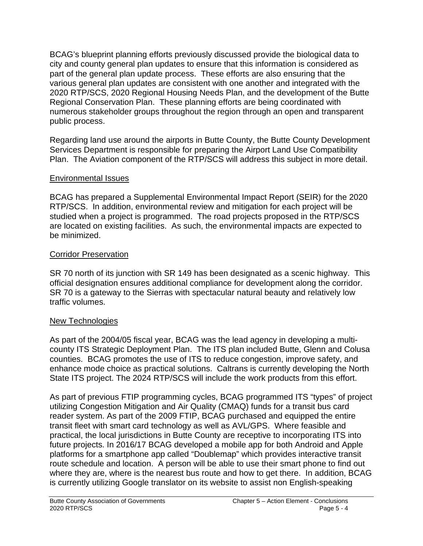BCAG's blueprint planning efforts previously discussed provide the biological data to city and county general plan updates to ensure that this information is considered as part of the general plan update process. These efforts are also ensuring that the various general plan updates are consistent with one another and integrated with the 2020 RTP/SCS, 2020 Regional Housing Needs Plan, and the development of the Butte Regional Conservation Plan. These planning efforts are being coordinated with numerous stakeholder groups throughout the region through an open and transparent public process.

Regarding land use around the airports in Butte County, the Butte County Development Services Department is responsible for preparing the Airport Land Use Compatibility Plan. The Aviation component of the RTP/SCS will address this subject in more detail.

#### Environmental Issues

BCAG has prepared a Supplemental Environmental Impact Report (SEIR) for the 2020 RTP/SCS. In addition, environmental review and mitigation for each project will be studied when a project is programmed. The road projects proposed in the RTP/SCS are located on existing facilities. As such, the environmental impacts are expected to be minimized.

### Corridor Preservation

SR 70 north of its junction with SR 149 has been designated as a scenic highway. This official designation ensures additional compliance for development along the corridor. SR 70 is a gateway to the Sierras with spectacular natural beauty and relatively low traffic volumes.

# New Technologies

As part of the 2004/05 fiscal year, BCAG was the lead agency in developing a multicounty ITS Strategic Deployment Plan. The ITS plan included Butte, Glenn and Colusa counties. BCAG promotes the use of ITS to reduce congestion, improve safety, and enhance mode choice as practical solutions. Caltrans is currently developing the North State ITS project. The 2024 RTP/SCS will include the work products from this effort.

As part of previous FTIP programming cycles, BCAG programmed ITS "types" of project utilizing Congestion Mitigation and Air Quality (CMAQ) funds for a transit bus card reader system. As part of the 2009 FTIP, BCAG purchased and equipped the entire transit fleet with smart card technology as well as AVL/GPS. Where feasible and practical, the local jurisdictions in Butte County are receptive to incorporating ITS into future projects. In 2016/17 BCAG developed a mobile app for both Android and Apple platforms for a smartphone app called "Doublemap" which provides interactive transit route schedule and location. A person will be able to use their smart phone to find out where they are, where is the nearest bus route and how to get there. In addition, BCAG is currently utilizing Google translator on its website to assist non English-speaking